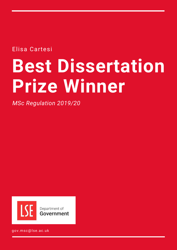Elisa Cartesi

# **Best Dissertation Prize Winner**

*MSc Regulation 2019/20*



gov.msc@lse.ac.uk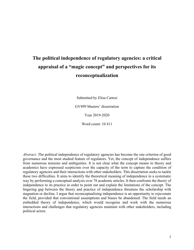# **The political independence of regulatory agencies: a critical appraisal of a "magic concept" and perspectives for its reconceptualization**

Submitted by Elisa Cartesi

GV499 Masters' dissertation

Year 2019-2020

Word count: 10 411

*Abstract:* The political independence of regulatory agencies has become the one criterion of good governance and the most studied feature of regulators. Yet, the concept of independence suffers from numerous tensions and ambiguities. It is not clear what the concept means in theory and academics have expressed scepticism over the capacity of the term to capture the condition of regulatory agencies and their interactions with other stakeholders. This dissertation seeks to tackle these two difficulties. It aims to identify the theoretical meaning of independence in a systematic way by performing a conceptual analysis over 78 academic articles. It then confronts the theory of independence to its practice in order to point out and explain the limitations of the concept. The lingering gap between the theory and practice of independence threatens the scholarship with stagnation or decline. I argue that reconceptualising independence is an opportunity to rejuvenate the field, provided that conventional assumptions and biases be abandoned. The field needs an embedded theory of independence, which would recognise and work with the numerous interactions and challenges that regulatory agencies maintain with other stakeholders, including political actors.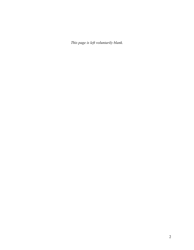*This page is left voluntarily blank.*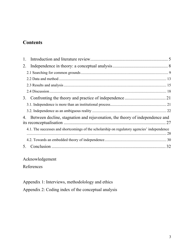# **Contents**

| 1.                                                                                          |  |
|---------------------------------------------------------------------------------------------|--|
| 2.                                                                                          |  |
|                                                                                             |  |
|                                                                                             |  |
|                                                                                             |  |
|                                                                                             |  |
| 3.                                                                                          |  |
|                                                                                             |  |
|                                                                                             |  |
| Between decline, stagnation and rejuvenation, the theory of independence and<br>4.          |  |
| 4.1. The successes and shortcomings of the scholarship on regulatory agencies' independence |  |
|                                                                                             |  |
| 5.                                                                                          |  |

# Acknowledgement

References

Appendix 1: Interviews, methodolology and ethics

Appendix 2: Coding index of the conceptual analysis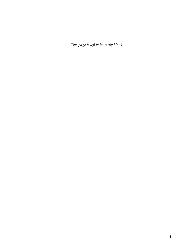*This page is left voluntarily blank.*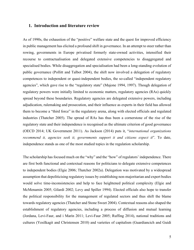#### **1. Introduction and literature review**

As of 1990s, the exhaustion of the "positive" welfare state and the quest for improved efficiency in public management has elicited a profound shift in governance. In an attempt to steer rather than rowing, governments in Europe privatised formerly state-owned activities, intensified their recourse to contractualisation and delegated extensive competencies to disaggregated and specialised bodies. While disaggregation and specialisation had been a long-standing evolution of public governance (Pollitt and Talbot 2004), the shift now involved a delegation of regulatory competences to independent or quasi-independent bodies, the so-called "independent regulatory agencies", which gave rise to the "regulatory state" (Majone 1994, 1997). Though delegation of regulatory powers were initially limited to economic matters, regulatory agencies (RAs) quickly spread beyond these boundaries. Regulatory agencies are delegated extensive powers, including adjudication, rulemaking and prosecution, and their influence as experts in their field has allowed them to become a "third force" in the regulatory arena, along with elected officials and regulated industries (Thatcher 2005). The spread of RAs has thus been a cornerstone of the rise of the regulatory state and their independence is recognised as the ultimate criterion of good governance (OECD 2014; UK Government 2011). As Jackson (2014) puts it, "*international organizations recommend it, agencies seek it, governments support it and citizens expect it*". To date, independence stands as one of the most studied topics in the regulation scholarship.

The scholarship has focused much on the "why" and the "how" of regulators' independence. There are first both functional and contextual reasons for politicians to delegate extensive competences to independent bodies (Elgie 2006; Thatcher 2002a). Delegation was motivated by a widespread assumption that depoliticising regulatory issues by establishing non-majoritarian and expert bodies would solve time-inconsistencies and help to face heightened political complexity (Elgie and McMenamin 2005; Gilardi 2002; Levy and Spiller 1994). Elected officials also hope to transfer the political responsibility for the management of regulated sectors and thus shift the blame towards regulatory agencies (Thatcher and Stone Sweet 2004). Contextual reasons also shaped the establishment of regulatory agencies, including a process of diffusion and mutual learning (Jordana, Levi-Faur, and i Marín 2011; Levi-Faur 2005; Ruffing 2014), national traditions and cultures (Yesilkagit and Christensen 2010) and varieties of capitalism (Guardiancich and Guidi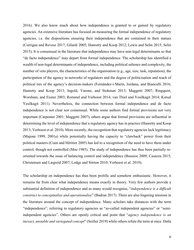2016). We also know much about how independence is granted to or gained by regulatory agencies. An extensive literature has focused on measuring the formal independence of regulatory agencies, i.e. the dispositions ensuring their independence that are contained in their statues (Corrigan and Revesz 2017; Gilardi 2005; Hanretty and Koop 2012; Lewis and Selin 2015; Selin 2015). It is consensual in the literature that independence may have non-legal determinants so that "de facto independence" may depart from formal independence. The scholarship has identified a wealth of non-legal determinants of independence, including political salience and complexity, the number of veto players, the characteristics of the organisation (e.g., age, size, task, reputation), the participation of the agency in networks of regulators and the degree of politicisation and reach of political ties of the agency's decision-makers (Fernández-i-Marín, Jordana, and Bianculli 2016; Hanretty and Koop 2013; Ingold, Varone, and Stokman 2013; Maggetti 2007; Ringquist, Worsham, and Eisner 2003; Rommel and Verhoest 2014; van Thiel and Yesilkagit 2014; Kutsal Yesilkagit 2011). Nevertheless, the connection between formal independence and de facto independence is not clear nor consensual. While some authors find formal provisions not very important (Carpenter 2001; Maggetti 2007), others argue that formal provisions are influential in determining the level of independence that a regulatory agency has in practice (Hanretty and Koop 2013; Verhoest et al. 2010). More recently, the recognition that regulatory agencies lack legitimacy (Majone 1999, 2001a) while potentially having the capacity to "clawback" power from their political masters (Coen and Héritier 2005) has led to a recognition of the need to have them under control, though not controlled (Moe 1985). The study of independence has thus been partially reoriented towards the issue of balancing control and independence (Busuioc 2009; Casazza 2015; Christensen and Lægreid 2007; Lodge and Stirton 2010; Verhoest et al. 2010).

The scholarship on independence has thus been prolific and somehow enthusiastic. However, it remains far from clear what independence means exactly in theory. Very few authors provide a substantial definition of independence and as many would recognise, "*independence is a difficult construct to conceptualise and operationalise*" (Badran 2017). There are also lingering tensions in the literature around the concept of independence. Many scholars take distances with the term "independence", referring to regulatory agencies as "so-called independent agencies" or "semiindependent agencies". Others are openly critical and point that "*agency independence is an inexact, unstable and variegated concept*" (Seifter 2019) while others refute the term at once. Datla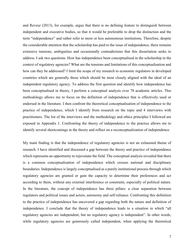and Revesz (2013), for example, argue that there is no defining feature to distinguish between independent and executive bodies, so that it would be preferable to drop the distinction and the term "independence" and rather refer to more or less autonomous institutions. Therefore, despite the considerable attention that the scholarship has paid to the issue of independence, there remains extensive tensions, ambiguities and occasionally contradictions that this dissertation seeks to address. I ask two questions. How has independence been conceptualised in the scholarship in the context of regulatory agencies? What are the tensions and limitations of this conceptualisation and how can they be addressed? I limit the scope of my research to economic regulators in developed countries which are generally those which should be most closely aligned with the ideal of an independent regulatory agency. To address the first question and identify how independence has been conceptualised in theory, I perform a conceptual analysis over 78 academic articles. This methodology allows me to focus on the definition of independence that is effectively used or endorsed in the literature. I then confront the theoretical conceptualisation of independence to the practice of independence, which I identify from research on the topic and 4 interviews with practitioners. The list of the interviews and the methodology and ethics principles I followed are exposed in Appendix 1. Confronting the theory of independence to the practice allows me to identify several shortcomings in the theory and reflect on a reconceptualization of independence.

My main finding is that the independence of regulatory agencies is not an exhausted theme of research. I have identified and discussed a gap between the theory and practice of independence which represents an opportunity to rejuvenate the field. The conceptual analysis revealed that there is a common conceptualisation of independence which crosses national and disciplinary boundaries. Independence is largely conceptualised as a purely institutional process through which regulatory agencies are granted or gain the capacity to determine their preferences and act according to them, without any external interference or constraint, especially of political nature. In the literature, the concept of independence has three pillars: a clear separation between regulators and political issues and actors, autonomy and self-reliance. Confronting this definition to the practice of independence has uncovered a gap regarding both the nature and definition of independence. I conclude that the theory of independence leads to a situation in which "all regulatory agencies are independent, but no regulatory agency is independent". In other words, while regulatory agencies are generously called independent, when applying the theoretical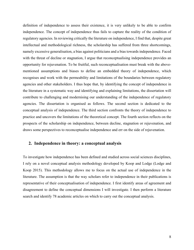definition of independence to assess their existence, it is very unlikely to be able to confirm independence. The concept of independence thus fails to capture the reality of the condition of regulatory agencies. In reviewing critically the literature on independence, I find that, despite great intellectual and methodological richness, the scholarship has suffered from three shortcomings, namely excessive generalisation, a bias against politicians and a bias towards independence. Faced with the threat of decline or stagnation, I argue that reconceptualising independence provides an opportunity for rejuvenation. To be fruitful, such reconceptualisation must break with the abovementioned assumptions and biases to define an embedded theory of independence, which recognises and work with the permeability and limitations of the boundaries between regulatory agencies and other stakeholders. I thus hope that, by identifying the concept of independence in the literature in a systematic way and identifying and explaining limitations, the dissertation will contribute to challenging and modernising our understanding of the independence of regulatory agencies. The dissertation is organised as follows. The second section is dedicated to the conceptual analysis of independence. The third section confronts the theory of independence to practice and uncovers the limitations of the theoretical concept. The fourth section reflects on the prospects of the scholarship on independence, between decline, stagnation or rejuvenation, and draws some perspectives to reconceptualise independence and err on the side of rejuvenation.

## **2. Independence in theory: a conceptual analysis**

To investigate how independence has been defined and studied across social sciences disciplines, I rely on a novel conceptual analysis methodology developed by Koop and Lodge (Lodge and Koop 2015). This methodology allows me to focus on the actual use of independence in the literature. The assumption is that the way scholars refer to independence in their publications is representative of their conceptualisation of independence. I first identify areas of agreement and disagreement to define the conceptual dimensions I will investigate. I then perform a literature search and identify 78 academic articles on which to carry out the conceptual analysis.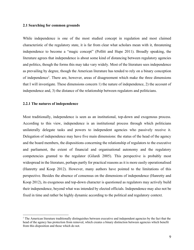#### **2.1 Searching for common grounds**

While independence is one of the most studied concept in regulation and most claimed characteristic of the regulatory state, it is far from clear what scholars mean with it, threatening independence to become a "magic concept" (Pollitt and Hupe 2011). Broadly speaking, the literature agrees that independence is about some kind of distancing between regulatory agencies and politics, though the forms this may take vary widely. Most of the literature sees independence as prevailing by degree, though the American literature has tended to rely on a binary conception of independence1. There are, however, areas of disagreement which make the three dimensions that I will investigate. These dimensions concern 1) the nature of independence, 2) the account of independence and, 3) the distance of the relationship between regulators and politicians.

#### **2.2.1 The natures of independence**

Most traditionally, independence is seen as an institutional, top-down and exogenous process. According to this view, independence is an institutional process through which politicians unilaterally delegate tasks and powers to independent agencies who passively receive it. Delegation of independence may have five main dimensions: the status of the head of the agency and the board members, the dispositions concerning the relationship of regulators to the executive and parliament, the extent of financial and organisational autonomy and the regulatory competencies granted to the regulator (Gilardi 2005). This perspective is probably most widespread in the literature, perhaps partly for practical reasons as it is more easily operationalised (Hanretty and Koop 2012). However, many authors have pointed to the limitations of this perspective. Besides the absence of consensus on the dimensions of independence (Hanretty and Koop 2012), its exogenous and top-down character is questioned as regulators may actively build their independence, beyond what was intended by elected officials. Independence may also not be fixed in time and rather be highly dynamic according to the political and regulatory context.

<sup>&</sup>lt;sup>1</sup> The American literature traditionally distinguishes between executive and independent agencies by the fact that the head of the agency has protection from removal, which creates a binary distinction between agencies which benefit from this disposition and those which do not.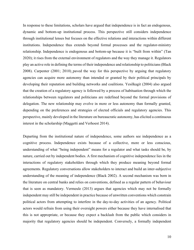In response to these limitations, scholars have argued that independence is in fact an endogenous, dynamic and bottom-up institutional process. This perspective still considers independence through institutional lenses but focuses on the effective relations and interactions within different institutions. Independence thus extends beyond formal processes and the regulator-ministry relationship. Independence is endogenous and bottom-up because it is "built from within" (Tan 2020); it rises from the external environment of regulators and the way they manage it. Regulators play an active role in defining the terms of their independence and relationship to politicians(Black 2008). Carpenter (2001; 2010) paved the way for this perspective by arguing that regulatory agencies can acquire more autonomy than intended or granted by their political principals by developing their reputation and building networks and coalitions. Yesilkagit (2004) also argued that the creation of a regulatory agency is followed by a process of habituation through which the relationships between regulators and politicians are redefined beyond the formal provisions of delegation. The new relationship may evolve in more or less autonomy than formally granted, depending on the preferences and strategies of elected officials and regulatory agencies. This perspective, mainly developed in the literature on bureaucratic autonomy, has elicited a continuous interest in the scholarship (Maggetti and Verhoest 2014).

Departing from the institutional nature of independence, some authors see independence as a cognitive process. Independence exists because of a collective, more or less conscious, understanding of what "being independent" means for a regulator and what tasks should be, by nature, carried out by independent bodies. A first mechanism of cognitive independence lies in the interactions of regulatory stakeholders through which they produce meaning beyond formal agreements. Regulatory conversations allow stakeholders to interact and build an inter-subjective understanding of the meaning of independence (Black 2002). A second mechanism was born in the literature on central banks and relies on conventions, defined as a regular pattern of behaviour that is seen as mandatory. Vermeule (2013) argues that agencies which may not be formally independent may still be independent in practice because of unwritten conventions which constrain political actors from attempting to interfere in the day-to-day activities of an agency. Political actors would refrain from using their oversight powers either because they have internalised that this is not appropriate, or because they expect a backlash from the public which considers in majority that regulatory agencies should be independent. Conversely, a formally independent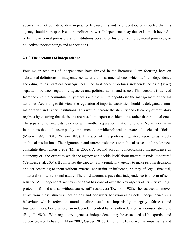agency may not be independent in practice because it is widely understood or expected that this agency should be responsive to the political power. Independence may thus exist much beyond – or behind – formal provisions and institutions because of historic traditions, moral principles, or collective understandings and expectations.

#### **2.1.2 The accounts of independence**

Four major accounts of independence have thrived in the literature. I am focusing here on substantial definitions of independence rather than instrumental ones which define independence according to its practical consequences. The first account defines independence as a (strict) separation between regulatory agencies and political actors and issues. This account is derived from the credible commitment hypothesis and the will to depoliticise the management of certain activities. According to this view, the regulation of important activities should be delegated to nonmajoritarian and expert institutions. This would increase the stability and efficiency of regulatory regimes by ensuring that decisions are based on expert considerations, rather than political ones. The separation of interests resonates with another separation, that of functions. Non-majoritarian institutions should focus on policy-implementation while political issues are left to elected officials (Majone 1997, 2001b; Wilson 1887). This account thus portrays regulatory agencies as largely apolitical institutions. Their ignorance and unresponsiveness to political issues and preferences constitute their raison d'être (Miller 2005). A second account conceptualises independence as autonomy or "the extent to which the agency can decide itself about matters it finds important" (Verhoest et al. 2004). It comprises the capacity for a regulatory agency to make its own decisions and act according to them without external constraint or influence, be they of legal, financial, structural or interventional nature. The third account argues that independence is a form of selfreliance. An independent agency is one that has control over the key aspects of its survival (e.g., protection from dismissal without cause, staff, resources) (Dworkin 1988). The last account moves away from these structural definitions and considers behavioural aspects. Independence is a behaviour which refers to moral qualities such as impartiality, integrity, fairness and trustworthiness. For example, an independent central bank is often defined as a conservative one (Rogoff 1985). With regulatory agencies, independence may be associated with expertise and evidence-based behaviour (Maor 2007; Ossege 2015; Schrefler 2010) as well as impartiality and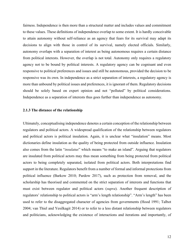fairness. Independence is then more than a structural matter and includes values and commitment to these values. These definitions of independence overlap to some extent. It is hardly conceivable to attain autonomy without self-reliance as an agency that fears for its survival may adapt its decisions to align with those in control of its survival, namely elected officials. Similarly, autonomy overlaps with a separation of interest as being autonomous requires a certain distance from political interests. However, the overlap is not total. Autonomy only requires a regulatory agency not to be bound by political interests. A regulatory agency can be cognisant and even responsive to political preferences and issues and still be autonomous, provided the decision to be responsive was its own. In independence as a strict separation of interests, a regulatory agency is more than unbound by political issues and preferences, it is ignorant of them. Regulatory decisions should be solely based on expert opinion and not "polluted" by political considerations. Independence as a separation of interests thus goes further than independence as autonomy.

#### **2.1.3 The distance of the relationship**

Ultimately, conceptualising independence denotes a certain conception of the relationship between regulators and political actors. A widespread qualification of the relationship between regulators and political actors is political insulation. Again, it is unclear what "insulation" means. Most dictionaries define insulation as the quality of being protected from outside influence. Insulation also comes from the latin "*insulatus*" which means "to make an island". Arguing that regulators are insulated from political actors may thus mean something from being protected from political actors to being completely separated, isolated from political actors. Both interpretations find support in the literature. Regulators benefit from a number of formal and informal protections from political influence (Barkow 2010; Pardow 2017), such as protection from removal, and the scholarship has theorised and commented on the strict separation of interests and functions that must exist between regulator and political actors (*supra*). Another frequent description of regulators' relationship to political actors is "arm's length relationship". "Arm's length" has been used to refer to the disaggregated character of agencies from governments (Hood 1991; Talbot 2004; van Thiel and Yesilkagit 2014) or to refer to a less distant relationship between regulators and politicians, acknowledging the existence of interactions and iterations and importantly, of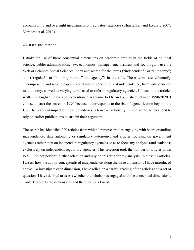accountability and oversight mechanisms on regulatory agencies (Christensen and Lægreid 2007; Verhoest et al. 2010).

#### **2.2 Data and method**

I study the use of these conceptual dimensions on academic articles in the fields of political science, public administration, law, economics, management, business and sociology. I use the Web of Sciences Social Sciences Index and search for the terms ("independen\*" or "autonomy") and ("regulat\*" or "non-majoritarian" or "agency") in the title. These terms are voluntarily encompassing and seek to capture variations of conceptions of independence, from independence to autonomy, as well as varying terms used to refer to regulatory agencies. I focus on the articles written in English, in the above-mentioned academic fields, and published between 1990-2020. I choose to start the search in 1990 because it corresponds to the rise of agencification beyond the US. The practical impact of these boundaries is however relatively limited as the articles tend to rely on earlier publications to sustain their argument.

The search has identified 220 articles from which I remove articles engaging with board or auditor independence, state autonomy or regulatory autonomy, and articles focusing on government agencies rather than on independent regulatory agencies so as to focus my analysis (and statistics) exclusively on independent regulatory agencies. This selection took the number of articles down to 87. I do not perform further selection and rely on this data for my analysis. In these 87 articles, I assess how the author conceptualised independence along the three dimensions I have introduced above. To investigate each dimension, I have relied on a careful reading of the articles and a set of questions I have defined to assess whether the scholar has engaged with the conceptual dimensions. Table 1 presents the dimensions and the questions I used.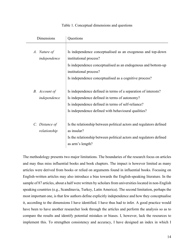| Dimensions                     | Questions                                                                                                                                                                                                                                  |
|--------------------------------|--------------------------------------------------------------------------------------------------------------------------------------------------------------------------------------------------------------------------------------------|
| A. Nature of<br>independence   | Is independence conceptualised as an exogenous and top-down<br>institutional process?<br>Is independence conceptualised as an endogenous and bottom-up<br>institutional process?<br>Is independence conceptualised as a cognitive process? |
| B. Account of<br>independence  | Is independence defined in terms of a separation of interests?<br>Is independence defined in terms of autonomy?<br>Is independence defined in terms of self-reliance?<br>Is independence defined with behavioural qualities?               |
| C. Distance of<br>relationship | Is the relationship between political actors and regulators defined<br>as insular?<br>Is the relationship between political actors and regulators defined<br>as arm's length?                                                              |

#### Table 1. Conceptual dimensions and questions

The methodology presents two major limitations. The boundaries of the research focus on articles and may thus miss influential books and book chapters. The impact is however limited as many articles were derived from books or relied on arguments found in influential books. Focusing on English-written articles may also introduce a bias towards the English-speaking literature. In the sample of 87 articles, about a half were written by scholars from universities located in non-English speaking countries (e.g., Scandinavia, Turkey, Latin America). The second limitation, perhaps the most important one, is that few authors define explicitly independence and how they conceptualise it, according to the dimensions I have identified. I have thus had to infer. A good practice would have been to have another researcher look through the articles and perform the analysis so as to compare the results and identify potential mistakes or biases. I, however, lack the resources to implement this. To strengthen consistency and accuracy, I have designed an index in which I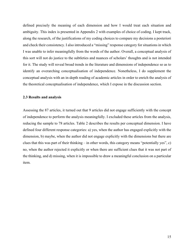defined precisely the meaning of each dimension and how I would treat each situation and ambiguity. This index is presented in Appendix 2 with examples of choice of coding. I kept track, along the research, of the justifications of my coding choices to compare my decisions a posteriori and check their consistency. I also introduced a "missing" response category for situations in which I was unable to infer meaningfully from the words of the author. Overall, a conceptual analysis of this sort will not do justice to the subtleties and nuances of scholars' thoughts and is not intended for it. The study will reveal broad trends in the literature and dimensions of independence so as to identify an overarching conceptualisation of independence. Nonetheless, I do supplement the conceptual analysis with an in-depth reading of academic articles in order to enrich the analysis of the theoretical conceptualisation of independence, which I expose in the discussion section.

#### **2.3 Results and analysis**

Assessing the 87 articles, it turned out that 9 articles did not engage sufficiently with the concept of independence to perform the analysis meaningfully. I excluded these articles from the analysis, reducing the sample to 78 articles. Table 2 describes the results per conceptual dimension. I have defined four different response categories: a) yes, when the author has engaged explicitly with the dimension, b) maybe, when the author did not engage explicitly with the dimensions but there are clues that this was part of their thinking – in other words, this category means "potentially yes", c) no, when the author rejected it explicitly or when there are sufficient clues that it was not part of the thinking, and d) missing, when it is impossible to draw a meaningful conclusion on a particular item.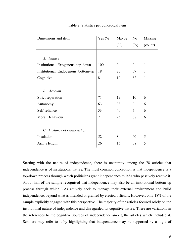| Dimensions and item                  | Yes $(\% )$    | Maybe    | N <sub>o</sub>   | Missing      |
|--------------------------------------|----------------|----------|------------------|--------------|
|                                      |                | $(\%)$   | $(\%)$           | (count)      |
|                                      |                |          |                  |              |
| A. Nature                            |                |          |                  |              |
| Institutional. Exogenous, top-down   | 100            | $\theta$ | $\theta$         | $\mathbf{1}$ |
| Institutional. Endogenous, bottom-up | 18             | 25       | 57               | $\mathbf{1}$ |
| Cognitive                            | 8              | 10       | 82               | $\mathbf{1}$ |
|                                      |                |          |                  |              |
| B. Account                           |                |          |                  |              |
| Strict separation                    | 71             | 19       | 10               | 6            |
| Autonomy                             | 63             | 38       | $\boldsymbol{0}$ | 6            |
| Self-reliance                        | 53             | 40       | $\tau$           | 6            |
| Moral Behaviour                      | $\overline{7}$ | 25       | 68               | 6            |
|                                      |                |          |                  |              |
| C. Distance of relationship          |                |          |                  |              |
| Insulation                           | 52             | 8        | 40               | 5            |
| Arm's length                         | 26             | 16       | 58               | 5            |

#### Table 2. Statistics per conceptual item

Starting with the nature of independence, there is unanimity among the 78 articles that independence is of institutional nature. The most common conception is that independence is a top-down process through which politicians grant independence to RAs who passively receive it. About half of the sample recognised that independence may also be an institutional bottom-up process through which RAs actively seek to manage their external environment and build independence, beyond what is intended or granted by elected officials. However, only 18% of the sample explicitly engaged with this perspective. The majority of the articles focused solely on the institutional nature of independence and disregarded its cognitive nature. There are variations in the references to the cognitive sources of independence among the articles which included it. Scholars may refer to it by highlighting that independence may be supported by a logic of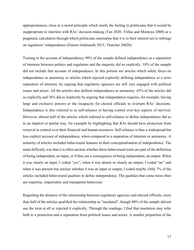appropriateness, close to a moral principle which instils the feeling in politicians that it would be inappropriate to interfere with RAs' decision-making (Tan 2020; Trillas and Montoya 2008) or a pragmatic calculation through which politicians internalise that it is in their interest not to infringe on regulators' independence (Ennser-Jedenastik 2015; Thatcher 2002b).

Turning to the account of independence, 90% of the sample defined independence as a separation of interests between politics and regulators and the majority did so explicitly. 10% of the sample did not include that account of independence. In this portion are articles which solely focus on independence as autonomy or articles which rejected explicitly defining independence as a strict separation of interests, by arguing that regulatory agencies are still very engaged with political issues and actors. All the articles also defined independence as autonomy. 63% of the articles did so explicitly and 38% did so implicitly by arguing that independence requires, for example, having large and exclusive powers or the incapacity for elected officials to overturn RAs' decisions. Independence is also referred to as self-reliance or having control over key aspects of survival. However, almost half of the articles which referred to self-reliance to define independence did so in an implicit or partial way, for example by highlighting that RAs should have protection from removal or control over their financial and human resources. Self-reliance is thus a widespread but less explicit account of independence, when compared to a separation of interests or autonomy. A minority of articles included behavioural features in their conceptualisation of independence. The main difficulty was that it is often unclear whether these behavioural traits are part of the definition of being independent, an input, or if they are a consequence of being independent, an output. When it was clearly an input, I coded "yes", when it was absent or clearly an output, I coded "no" and when it was present but unclear whether it was an input or output, I coded maybe. Only 7% of the articles included behavioural qualities to define independence. The qualities that come most often are expertise, impartiality and transparent behaviour.

Regarding the distance of the relationship between regulatory agencies and elected officials, more than half of the articles qualified the relationship as "insulated", though 40% of the sample did not use the term at all or rejected it explicitly. Through the readings, I find that insulation may refer both to a protection and a separation from political issues and actors. A smaller proportion of the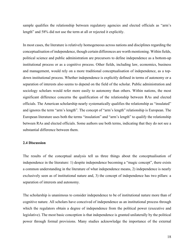sample qualifies the relationship between regulatory agencies and elected officials as "arm's length" and 58% did not use the term at all or rejected it explicitly.

In most cases, the literature is relatively homogeneous across nations and disciplines regarding the conceptualisation of independence, though certain differences are worth mentioning. Within fields, political science and public administration are precursors to define independence as a bottom-up institutional process or as a cognitive process. Other fields, including law, economics, business and management, would rely on a more traditional conceptualisation of independence, as a topdown institutional process. Whether independence is explicitly defined in terms of autonomy or a separation of interests also seems to depend on the field of the scholar. Public administration and sociology scholars would refer more easily to autonomy than others. Within nations, the most significant difference concerns the qualification of the relationship between RAs and elected officials. The American scholarship nearly systematically qualifies the relationship as "insulated" and ignores the term "arm's length". The concept of "arm's length" relationship is European. The European literature uses both the terms "insulation" and "arm's length" to qualify the relationship between RAs and elected officials. Some authors use both terms, indicating that they do not see a substantial difference between them.

#### **2.4 Discussion**

The results of the conceptual analysis tell us three things about the conceptualisation of independence in the literature: 1) despite independence becoming a "magic concept", there exists a common understanding in the literature of what independence means, 2) independence is nearly exclusively seen as of institutional nature and, 3) the concept of independence has two pillars: a separation of interests and autonomy.

The scholarship is unanimous to consider independence to be of institutional nature more than of cognitive nature. All scholars have conceived of independence as an institutional process through which the regulators obtain a degree of independence from the political power (executive and legislative). The most basic conception is that independence is granted unilaterally by the political power through formal provisions. Many studies acknowledge the importance of the external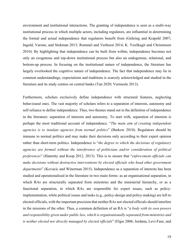environment and institutional interactions. The granting of independence is seen as a multi-way institutional process in which multiple actors, including regulators, are influential in determining the formal and actual independence that regulators benefit from (Gehring and Krapohl 2007; Ingold, Varone, and Stokman 2013; Rommel and Verhoest 2014; K. Yesilkagit and Christensen 2010). By highlighting that independence can be built from within, independence becomes not only an exogenous and top-down institutional process but also an endogenous, relational, and bottom-up process. In focusing on the institutional nature of independence, the literature has largely overlooked the cognitive nature of independence. The fact that independence may lie in common understandings, expectations and traditions is scarcely acknowledged and studied in the literature and its study centres on central banks (Tan 2020; Vermeule 2013).

Furthermore, scholars exclusively define independence with structural features, neglecting behavioural ones. The vast majority of scholars refers to a separation of interests, autonomy and self-reliance to define independence. Thus, two themes stand out in the definition of independence in the literature: separation of interests and autonomy. To start with, separation of interests is perhaps the most traditional account of independence. "*The main aim of creating independent agencies is to insulate agencies from normal politics*" (Barkow 2010). Regulators should be immune to normal politics and may make their decisions only according to their expert opinion rather than short-term politics. Independence is "*the degree to which the decisions of regulatory agencies are formed without the interference of politicians and/or consideration of political preferences*" (Hanretty and Koop 2012, 2013). This is to ensure that "*enforcement officials can make decisions without destructive interventions by elected officials who head other government departments*" (Kovacic and Winerman 2015). Independence as a separation of interests has been studied and operationalised in the literature in two main forms: as an organisational separation, in which RAs are structurally separated from ministries and the ministerial hierarchy, or as a functional separation, in which RAs are responsible for expert issues, such as policyimplementation, while political issues and tasks (e.g., policy-design and policy-making) are left to elected officials, with the important precision that neither RAs nor elected officials should interfere in the missions of the other. Thus, a common definition of an RA is "*a body with its own powers and responsibility given under public law, which is organisationally separated from ministries and is neither elected nor directly managed by elected officials*" (Elgie 2006; Jordana, Levi-Faur, and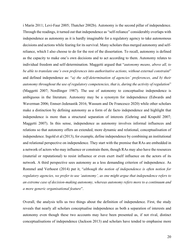i Marín 2011; Levi-Faur 2005; Thatcher 2002b). Autonomy is the second pillar of independence. Through the readings, it turned out that independence as "self-reliance" considerably overlaps with independence as autonomy as it is hardly imaginable for a regulatory agency to take autonomous decisions and actions while fearing for its survival. Many scholars thus merged autonomy and selfreliance, which I also choose to do for the rest of the dissertation. To recall, autonomy is defined as the capacity to make one's own decisions and to act according to them. Autonomy relates to individual freedom and self-determination. Maggetti argued that "*autonomy means, above all, to be able to translate one's own preferences into authoritative actions, without external constraint*" and defined independence as: "*a) the self-determination of agencies' preferences, and b) their autonomy throughout the use of regulatory competencies, that is, during the activity of regulation*" (Maggetti 2007; Nordlinger 1987). The use of autonomy to conceptualise independence is ambiguous in the literature. Autonomy may be a synonym for independence (Edwards and Waverman 2006; Ennser-Jedenastik 2016; Wassum and De Francesco 2020) while other scholars make a distinction by defining autonomy as a form of de facto independence and highlight that independence is more than a structural separation of interests (Gehring and Krapohl 2007; Maggetti 2007). In this sense, independence as autonomy involves informal influences and relations so that autonomy offers an extended, more dynamic and relational, conceptualisation of independence. Ingold et al (2013), for example, define independence by combining an institutional and relational perspective on independence. They start with the premise that RAs are embedded in a network of actors who may influence or constrain them, though RAs may also have the resources (material or reputational) to resist influence or even exert itself influence on the actors of its network. A third perspective sees autonomy as a less demanding criterion of independence. As Rommel and Verhoest (2014) put it, "*although the notion of independence is often notion for regulatory agencies, we prefer to use 'autonomy', as one might argue that independence refers to an extreme case of decision-making autonomy, whereas autonomy refers more to a continuum and a more generic organisational feature*".

Overall, the analysis tells us two things about the definition of independence. First, the study reveals that nearly all scholars conceptualise independence as both a separation of interests and autonomy even though these two accounts may have been presented as, if not rival, distinct conceptualisations of independence (Jackson 2013) and scholars have tended to emphasise more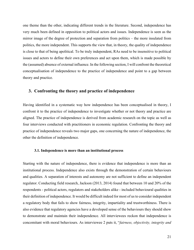one theme than the other, indicating different trends in the literature. Second, independence has very much been defined in opposition to political actors and issues. Independence is seen as the mirror image of the degree of protection and separation from politics – the more insulated from politics, the more independent. This supports the view that, in theory, the quality of independence is close to that of being apolitical. To be truly independent, RAs need to be insensitive to political issues and actors to define their own preferences and act upon them, which is made possible by the (assumed) absence of external influence. In the following section, I will confront the theoretical conceptualisation of independence to the practice of independence and point to a gap between theory and practice.

## **3. Confronting the theory and practice of independence**

Having identified in a systematic way how independence has been conceptualised in theory, I confront it to the practice of independence to investigate whether or not theory and practice are aligned. The practice of independence is derived from academic research on the topic as well as four interviews conducted with practitioners in economic regulation. Confronting the theory and practice of independence reveals two major gaps, one concerning the nature of independence, the other the definition of independence.

#### **3.1. Independence is more than an institutional process**

Starting with the nature of independence, there is evidence that independence is more than an institutional process. Independence also exists through the demonstration of certain behaviours and qualities. A separation of interests and autonomy are not sufficient to define an independent regulator. Conducting field research, Jackson (2013, 2014) found that between 10 and 20% of the respondents - political actors, regulators and stakeholders alike - included behavioural qualities in their definition of independence. It would be difficult indeed for most of us to consider independent a regulatory body that fails to show fairness, integrity, impartiality and trustworthiness. There is also evidence that regulatory agencies have a developed sense of the behaviours they should show to demonstrate and maintain their independence. All interviewees reckon that independence is concomitant with moral behaviours. As interviewee 2 puts it, "*fairness, objectivity, integrity and*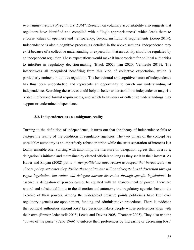*impartiality are part of regulators*' *DNA*". Research on voluntary accountability also suggests that regulators have identified and complied with a "logic appropriateness" which leads them to endorse values of openness and transparency, beyond institutional requirements (Koop 2014). Independence is also a cognitive process, as detailed in the above sections. Independence may exist because of a collective understanding or expectation that an activity should be regulated by an independent regulator. These expectations would make it inappropriate for political authorities to interfere in regulatory decision-making (Black 2002; Tan 2020; Vermeule 2013). The interviewees all recognised benefiting from this kind of collective expectation, which is particularly eminent in utilities regulation. The behavioural and cognitive nature of independence has thus been understudied and represents an opportunity to enrich our understanding of independence. Searching these areas could help us better understand how independence may rise or decline beyond formal requirements, and which behaviours or collective understandings may support or undermine independence.

#### **3.2. Independence as an ambiguous reality**

Turning to the definition of independence, it turns out that the theory of independence fails to capture the reality of the condition of regulatory agencies. The two pillars of the concept are unreliable: autonomy is an imperfectly robust criterion while the strict separation of interests is a totally unstable one. Starting with autonomy, the literature on delegation agrees that, as a rule, delegation is initiated and maintained by elected officials so long as they see it in their interest. As Huber and Shipan (2002) put it, "*when politicians have reason to suspect that bureaucrats will choose policy outcomes they dislike, these politicians will not delegate broad discretion through vague legislation, but rather will delegate narrow discretion through specific legislation*". In essence, a delegation of powers cannot be equated with an abandonment of power. There are natural and substantial limits to the discretion and autonomy that regulatory agencies have in the exercise of their powers. Among the widespread pressure points politicians have kept over regulatory agencies are appointment, funding and administrative procedures. There is evidence that political authorities appoint RAs' key decision-makers people whose preferences align with their own (Ennser-Jedenastik 2015; Lewis and Devins 2008; Thatcher 2005). They also use the "power of the purse" (Feno 1966) to enforce their preferences by increasing or decreasing RAs'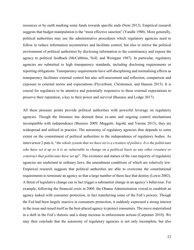resources or by earth marking some funds towards specific ends (Note 2012). Empirical research suggests that budget manipulation is the "most effective sanction" (Yandle 1988). More generally, political authorities may use the administrative procedures which regulatory agencies need to follow to reduce information asymmetries and facilitate control, but also to mirror the political environment of political authorities by disclosing information to the constituency and expose the agency to political feedback (McCubbins, Noll, and Weingast 1987). In particular, regulatory agencies are submitted to high transparency standards, including disclosing requirements or reporting obligations. Transparency requirements have self-disciplining and normalising effects as transparency facilitates external control but also self-assessment and reflection, comparison and exposure to external norms and expectations (Flyverbom, Christensen, and Hansen 2015). It is crucial for regulators to be attentive and potentially responsive to these external expectations to preserve their reputation, a key to their power and survival (Busuioc and Lodge 2017).

All these pressure points provide political authorities with powerful leverage on regulatory agencies. Though the literature has deemed these ex-ante and ongoing control mechanisms incompatible with independence (Busuioc 2009; Maggetti, Ingold, and Varone 2013), they are widespread and utilised in practice. The autonomy of regulatory agencies thus depends to some extent on the commitment of political authorities to the independence of regulatory bodies. As interviewee 2 puts it, "*the whole system that we have set is a creature of politics. It is the politicians who have set it up so it is as vulnerable to change on a political basis as any other creature or construct that politicians have set up*". The existence and statues of the vast majority of regulatory agencies are enshrined in ordinary laws, the amendment conditions of which are relatively low. Empirical research suggests that political authorities are able to overcome the constitutional requirements to terminate an agency so that a large number of them face that destiny (Lewis 2002). A threat of legislative change can in fact trigger a substantial change in an agency's behaviour. For example, following the financial crisis in 2009, the Obama Administration vowed to establish an agency tasked with consumer protection, in fact transferring some of the Fed's powers. Though the Fed had been largely inactive in consumers protection, it suddenly expressed a strong interest in the issue and raised itself as the best-placed agency to protect consumers. The move materialised in a shift in the Fed's rhetoric and a sharp increase in enforcement actions (Carpenter 2010). We may then conclude that the autonomy of regulatory agencies is not only incomplete, but also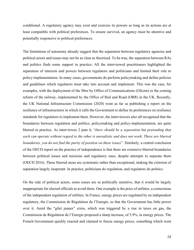conditional. A regulatory agency may exist and exercise its powers so long as its actions are at least compatible with political preferences. To ensure survival, an agency must be attentive and potentially responsive to political preferences.

The limitations of autonomy already suggest that the separation between regulatory agencies and political actors and issues may not be as clear as theorised. To be true, the separation between RAs and politics finds some support in practice. All the interviewed practitioners highlighted the separation of interests and powers between regulators and politicians and limited their role to policy-implementation. In many cases, governments do perform policymaking and define policies and guidelines which regulators must take into account and implement. This was the case, for examples, with the deployment of the fibre by Office of Communications (Ofcom) or the coming reform of the railway, implemented by the Office of Rail and Road (ORR) in the UK. Recently, the UK National Infrastructure Commission (2020) went as far as publishing a report on the resilience of infrastructures in which it calls the Government to define its preferences on resilience standards for regulators to implement them. However, the interviewees also all recognised that the boundaries between regulation and politics, policymaking and policy-implementation, are quite blurred in practice. As interviewee 2 puts it, "*there should be a separation but pretending that each can operate without regard to the other is unrealistic and does not work. There are blurred boundaries, you do not find the purity of position on these issues*". Similarly, a central conclusion of the OECD report on the practice of independence is that there are extensive blurred boundaries between political issues and missions and regulatory ones, despite attempts to separate them (OECD 2016). These blurred areas are systematic rather than exceptional, making the criterion of separation largely inoperant. In practice, politicians do regulation, and regulators do politics.

On the side of political actors, some issues are so politically sensitive, that it would be largely inappropriate for elected officials to avoid them. One example is the price of utilities, a cornerstone of the independent regulation of utilities. In France, energy prices are regulated by an independent regulatory, the Commission de Régulation de l'Energie, so that the Government has little power over it. Amid the "gilet jaunes" crisis, which was triggered by a rise in taxes on gas, the Commission de Régulation de l'Energie proposed a sharp increase, of 5.9%, in energy prices. The French Government quickly reacted and claimed to freeze energy prices, something which went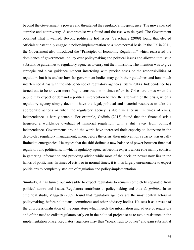beyond the Government's powers and threatened the regulator's independence. The move sparked surprise and controversy. A compromise was found and the rise was delayed. The Government obtained what it wanted. Beyond politically hot issues, Verschuere (2009) found that elected officials substantially engage in policy-implementation on a more normal basis. In the UK in 2011, the Government also introduced the "Principles of Economic Regulation" which reasserted the dominance of governmental policy over policymaking and political issues and allowed it to issue substantive guidelines to regulatory agencies to carry out their missions. The intention was to give strategic and clear guidance without interfering with precise cases or the responsibilities of regulators but it is unclear how far government bodies may go in their guidelines and how much interference it has with the independence of regulatory agencies (Stern 2014). Independence has turned out to be an even more fragile construction in times of crisis. Crises are times when the public may expect or demand a political intervention to face the aftermath of the crisis, when a regulatory agency simply does not have the legal, political and material resources to take the appropriate actions or when the regulatory agency is itself in a crisis. In times of crisis, independence is hardly tenable. For example, Gadinis (2013) found that the financial crisis triggered a worldwide overhaul of financial regulation, with a shift away from political independence. Governments around the world have increased their capacity to intervene in the day-to-day regulatory management, when, before the crisis, their intervention capacity was usually limited to emergencies. He argues that the shift defined a new balance of power between financial regulators and politicians, in which regulatory agencies become experts whose role mainly consists in gathering information and providing advice while most of the decision power now lies in the hands of politicians. In times of crisis or in normal times, it is thus largely unreasonable to expect politicians to completely step out of regulation and policy-implementation.

Similarly, it has turned out infeasible to expect regulators to remain completely separated from political actors and issues. Regulators contribute to policymaking and thus *do politics*. In an empirical study, Maggetti (2009) found that regulatory agencies are the most central actors in policymaking, before politicians, committees and other advisory bodies. He sees it as a result of the unprofessionalisation of the legislature which needs the information and advice of regulators and of the need to enlist regulators early on in the political project so as to avoid resistance in the implementation phase. Regulatory agencies may thus "speak truth to power" and gain substantial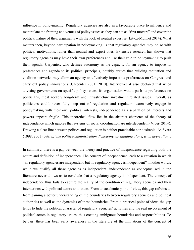influence in policymaking. Regulatory agencies are also in a favourable place to influence and manipulate the framing and venues of policy issues as they can act as "first movers" and cover the political nature of their arguments with the look of neutral expertise (Littoz-Monnet 2014). What matters then, beyond participation in policymaking, is that regulatory agencies may do so with political motivations, rather than neutral and expert ones. Extensive research has shown that regulatory agencies may have their own preferences and use their role in policymaking to push their agenda. Carpenter, who defines autonomy as the capacity for an agency to impose its preferences and agenda to its political principals, notably argues that building reputation and coalition networks may allow an agency to effectively impose its preferences on Congress and carry out policy innovations (Carpenter 2001; 2010). Interviewee 4 also declared that when advising governments on specific policy issues, its organisation would push its preferences on politicians, most notably long-term and infrastructure investment related issues. Overall, as politicians could never fully step out of regulation and regulators extensively engage in policymaking with their own political interests, independence as a separation of interests and powers appears fragile. This theoretical flaw lies in the abstract character of the theory of independence which ignores that systems of social coordination are interdependent (Vibert 2014). Drawing a clear line between politics and regulation is neither practicable nor desirable. As Svara (1998, 2001) puts it, "*the politics-administration dichotomy, as standing alone, is an aberration*".

In summary, there is a gap between the theory and practice of independence regarding both the nature and definition of independence. The concept of independence leads to a situation in which "all regulatory agencies are independent, but no regulatory agency is independent". In other words, while we qualify all these agencies as independent, independence as conceptualised in the literature never allows us to conclude that a regulatory agency is independent. The concept of independence thus fails to capture the reality of the condition of regulatory agencies and their interactions with political actors and issues. From an academic point of view, this gap refrains us from gaining a better understanding of the boundaries between regulatory agencies and political authorities as well as the dynamics of these boundaries. From a practical point of view, the gap tends to hide the political character of regulatory agencies' activities and the real involvement of political actors in regulatory issues, thus creating ambiguous boundaries and responsibilities. To be fair, there has been early awareness in the literature of the limitations of the concept of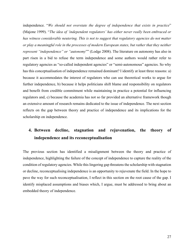independence. "*We should not overstate the degree of independence that exists in practice*" (Majone 1999). "*The idea of 'independent regulators' has either never really been embraced or has witness considerable neutering. This is not to suggest that regulatory agencies do not matter or play a meaningful role in the processes of modern European states, but rather that they neither represent "independence" or "autonomy*"" (Lodge 2008). The literature on autonomy has also in part risen in a bid to refuse the term independence and some authors would rather refer to regulatory agencies as "so-called independent agencies" or "semi-autonomous" agencies. So why has this conceptualisation of independence remained dominant? I identify at least three reasons: a) because it accommodates the interest of regulators who can use theoretical works to argue for further independence, b) because it helps politicians shift blame and responsibility on regulators and benefit from credible commitment while maintaining in practice a potential for influencing regulators and, c) because the academia has not so far provided an alternative framework though an extensive amount of research remains dedicated to the issue of independence. The next section reflects on the gap between theory and practice of independence and its implications for the scholarship on independence.

# **4. Between decline, stagnation and rejuvenation, the theory of independence and its reconceptualisation**

The previous section has identified a misalignment between the theory and practice of independence, highlighting the failure of the concept of independence to capture the reality of the condition of regulatory agencies. While this lingering gap threatens the scholarship with stagnation or decline, reconceptualising independence is an opportunity to rejuvenate the field. In the hope to pave the way for such reconceptualisation, I reflect in this section on the root cause of the gap. I identify misplaced assumptions and biases which, I argue, must be addressed to bring about an embedded theory of independence.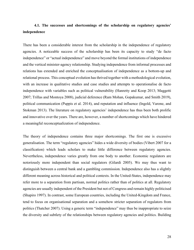## **4.1. The successes and shortcomings of the scholarship on regulatory agencies' independence**

There has been a considerable interest from the scholarship in the independence of regulatory agencies. A noticeable success of the scholarship has been its capacity to study "de facto independence" or "actual independence" and move beyond the formal institutions of independence and the vertical minister-agency relationship. Studying independence from informal processes and relations has extended and enriched the conceptualisation of independence as a bottom-up and relational process. This conceptual evolution has thrived together with a methodological evolution, with an increase in qualitative studies and case studies and attempts to operationalise de facto independence with variables such as political vulnerability (Hanretty and Koop 2013; Maggetti 2007; Trillas and Montoya 2008), judicial deference (Ram Mohan, Gopakumar, and Smith 2019), political communication (Puppis et al. 2014), and reputation and influence (Ingold, Varone, and Stokman 2013). The literature on regulatory agencies' independence has thus been both prolific and innovative over the years. There are, however, a number of shortcomings which have hindered a meaningful reconceptualization of independence.

The theory of independence contains three major shortcomings. The first one is excessive generalisation. The term "regulatory agencies" hides a wide diversity of bodies (Vibert 2007 for a classification) which leads scholars to make little difference between regulatory agencies. Nevertheless, independence varies greatly from one body to another. Economic regulators are notoriously more independent than social regulators (Gilardi 2005). We may thus want to distinguish between a central bank and a gambling commission. Independence also has a slightly different meaning across historical and political contexts. In the United-States, independence may refer more to a separation from partisan, normal politics rather than of politics at all. Regulatory agencies are usually independent of the President but not of Congress and remain highly politicised (Shapiro 1997). In contrast, some European countries, including the United-Kingdom and France, tend to focus on organisational separation and a somehow stricter separation of regulators from politics (Thatcher 2007). Using a generic term "independence" may thus be inappropriate to seize the diversity and subtlety of the relationships between regulatory agencies and politics. Building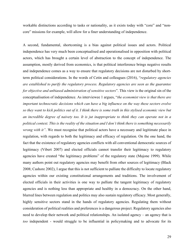workable distinctions according to tasks or nationality, as it exists today with "core" and "noncore" missions for example, will allow for a finer understanding of independence.

A second, fundamental, shortcoming is a bias against political issues and actors. Political independence has very much been conceptualised and operationalised in opposition with political actors, which has brought a certain level of abstraction to the concept of independence. The assumption, mostly derived from economics, is that political interference brings negative results and independence comes as a way to ensure that regulatory decisions are not disturbed by shortterm political considerations. In the words of Cetin and colleagues (2016), "*regulatory agencies are established to purify the regulatory process. Regulatory agencies are seen as the guarantee for objective and unbiased administration of sensitive sectors*". This view is the original sin of the conceptualisation of independence. As interviewee 1 argues, "*the economist view is that there are important technocratic decisions which can have a big influence on the way these sectors evolve so they want to kick politics out of it. I think there is some truth in this stylised economic view but an incredible degree of naivety too. It is jut inappropriate to think they can operate not in a political context. This is the reality of the situation and I don't think there is something necessarily wrong with it"*. We must recognise that political actors have a necessary and legitimate place in regulation, with regards to both the legitimacy and efficacy of regulation. On the one hand, the fact that the existence of regulatory agencies conflicts with all conventional democratic sources of legitimacy (Vibert 2007) and elected officials cannot transfer their legitimacy to regulatory agencies have created "the legitimacy problems" of the regulatory state (Majone 1999). While many authors point out regulatory agencies may benefit from other sources of legitimacy (Black 2008; Cashore 2002), I argue that this is not sufficient to palliate the difficulty to locate regulatory agencies within our existing constitutional arrangements and traditions. The involvement of elected officials in their activities is one way to palliate the tangent legitimacy of regulatory agencies and is nothing less than appropriate and healthy in a democracy. On the other hand, blurred lines between regulation and politics may also sustain regulatory efficacy. Most generally, highly sensitive sectors stand in the hands of regulatory agencies. Regulating them without consideration of political realities and preferences is a dangerous project. Regulatory agencies also need to develop their network and political relationships. An isolated agency – an agency that is *too* independent - would struggle to be influential in policymaking and to advocate for its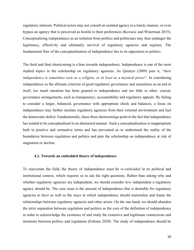regulatory interests. Political actors may not consult an isolated agency in a timely manner, or even bypass an agency that is perceived as hostile to their preferences (Kovacic and Winerman 2015). Conceptualising independence as an isolation from politics and politicians may thus endanger the legitimacy, effectivity and ultimately survival of regulatory agencies and regimes. The fundamental flaw of the conceptualisation of independence lies in its opposition to politics.

The third and final shortcoming is a bias towards independence. Independence is one of the most studied topics in the scholarship on regulatory agencies. As Quintyn (2009) puts it, "*their independence is sometimes seen as a religion, or at least as a mystical power*". In considering independence as the ultimate criterion of good regulatory governance and sometimes as an end in itself, too much attention has been granted to independence and too little to other, crucial, governance arrangements, such as transparency, accountability and regulatory appeals. By failing to consider a larger, balanced, governance with appropriate check and balances, a focus on independence may further insulate regulatory agencies from their external environment and fuel the democratic deficit. Fundamentally, these three shortcomings point to the fact that independence has tended to be conceptualised in an abstracted manner. Such a conceptualisation is inappropriate both in positive and normative terms and has prevented us to understand the reality of the boundaries between regulation and politics and puts the scholarship on independence at risk of stagnation or decline.

#### **4.2. Towards an embedded theory of independence**

To rejuvenate the field, the theory of independence must be *re-embedded* in its political and institutional context, which requires us to ask the right questions. Rather than asking why and whether regulatory agencies are independent, we should consider *how* independent a regulatory agency should be. The core issue is the amount of independence that is desirable for regulatory agencies to have as well as the ways in which independence should materialise and frame the relationships between regulatory agencies and other actors. On the one hand, we should abandon the strict separation between regulation and politics as the core of the definition of independence in order to acknowledge the existence of and study the extensive and legitimate connections and iterations between politics and regulation (Eriksen 2020). The study of independence should be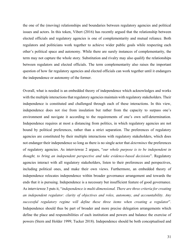the one of the (moving) relationships and boundaries between regulatory agencies and political issues and actors. In this token, Vibert (2016) has recently argued that the relationship between elected officials and regulatory agencies is one of complementarity and mutual reliance. Both regulators and politicians work together to achieve wider public goals while respecting each other's political space and autonomy. While there are surely instances of complementarity, the term may not capture the whole story. Substitution and rivalry may also qualify the relationships between regulators and elected officials. The term complementarity also raises the important question of how far regulatory agencies and elected officials can work together until it endangers the independence or autonomy of the former.

Overall, what is needed is an embedded theory of independence which acknowledges and works with the multiple interactions that regulatory agencies maintain with regulatory stakeholders. Their independence is constituted and challenged through each of these interactions. In this view, independence does not rise from insulation but rather from the capacity to surpass one's environment and navigate it according to the requirements of one's own self-determination. Independence requires at most a distancing from politics, in which regulatory agencies are not bound by political preferences, rather than a strict separation. The preferences of regulatory agencies are constituted by their multiple interactions with regulatory stakeholders, which does not endanger their independence so long as there is no single actor that *determines* the preferences of regulatory agencies. As interviewee 2 argues, "*our whole purpose is to be independent in thought, to bring an independent perspective and take evidence-based decisions*". Regulatory agencies interact with all regulatory stakeholders, listen to their preferences and perspectives, including political ones, and make their own views. Furthermore, an embedded theory of independence relocates independence within broader governance arrangement and towards the ends that it is pursuing. Independence is a necessary but insufficient feature of good governance. As interviewee 3 puts it, "*independence is multi-dimensional. There are three criteria for creating an independent regulator: clarity of objectives and roles, autonomy, and accountability. Any successful regulatory regime will define these three items when creating a regulator*". Independence should thus be part of broader and more precise delegation arrangements which define the place and responsibilities of each institution and powers and balance the exercise of powers (Stern and Holder 1999; Tucker 2018). Independence should be both conceptualised and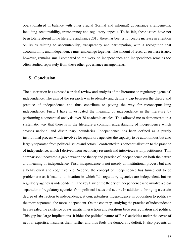operationalised in balance with other crucial (formal and informal) governance arrangements, including accountability, transparency and regulatory appeals. To be fair, these issues have not been totally absent in the literature and, since 2010, there has been a noticeable increase in attention on issues relating to accountability, transparency and participation, with a recognition that accountability and independence must and can go together. The amount of research on these issues, however, remains small compared to the work on independence and independence remains too often studied separately from these other governance arrangements.

#### **5. Conclusion**

The dissertation has exposed a critical review and analysis of the literature on regulatory agencies' independence. The aim of the research was to identify and define a gap between the theory and practice of independence and thus contribute to paving the way for reconceptualising independence. First, I have investigated the meaning of independence in the literature by performing a conceptual analysis over 78 academic articles. This allowed me to demonstrate in a systematic way that there is in the literature a common understanding of independence which crosses national and disciplinary boundaries. Independence has been defined as a purely institutional process which involves for regulatory agencies the capacity to be autonomous but also largely separated from political issues and actors. I confronted this conceptualisation to the practice of independence, which I derived from secondary research and interviews with practitioners. This comparison uncovered a gap between the theory and practice of independence on both the nature and meaning of independence. First, independence is not merely an institutional process but also a behavioural and cognitive one. Second, the concept of independence has turned out to be problematic as it leads to a situation in which "all regulatory agencies are independent, but no regulatory agency is independent". The key flaw of the theory of independence is to involve a clear separation of regulatory agencies from political issues and actors. In addition to bringing a certain degree of abstraction to independence, it conceptualises independence in opposition to politics – the more separated, the more independent. On the contrary, studying the practice of independence has revealed the existence of systematic interactions and iterations between regulation and politics. This gap has large implications. It hides the political nature of RAs' activities under the cover of neutral expertise, insulates them further and thus fuels the democratic deficit. It also prevents us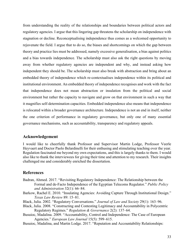from understanding the reality of the relationships and boundaries between political actors and regulatory agencies. I argue that this lingering gap threatens the scholarship on independence with stagnation or decline. Reconceptualising independence thus comes as a welcomed opportunity to rejuvenate the field. I argue that to do so, the biases and shortcomings on which the gap between theory and practice lies must be addressed, namely excessive generalisation, a bias against politics and a bias towards independence. The scholarship must also ask the right questions by moving away from whether regulatory agencies are independent and why, and instead asking how independent they should be. The scholarship must also break with abstraction and bring about an embedded theory of independence which re-contextualises independence within its political and institutional environment. An embedded theory of independence recognises and work with the fact that independence does not mean abstraction or insulation from the political and social environment but rather the capacity to navigate and grow on that environment in such a way that it magnifies self-determination capacities. Embedded independence also means that independence is relocated within a broader governance architecture. Independence is not an end in itself, neither the one criterion of performance in regulatory governance, but only one of many essential governance mechanisms, such as accountability, transparency and regulatory appeals.

### **Acknowledgement**

I would like to cheerfully thank Professor and Supervisor Martin Lodge, Professor Veerle Heyvaert and Doctor Paolo Belardinelli for their enthusing and stimulating teaching over the year. Regulation fascinated me beyond my own expectations, and this is largely thanks to them. I would also like to thank the interviewees for giving their time and attention to my research. Their insights challenged me and considerably enriched the dissertation.

## **References**

- Badran, Ahmed. 2017. "Revisiting Regulatory Independence: The Relationship between the Formal and de-Facto Independence of the Egyptian Telecoms Regulator." *Public Policy and Administration* 32(1): 66–84.
- Barkow, Rachel E. 2010. "Insulating Agencies: Avoiding Capture Through Institutional Design." *Texas Law Review* 89: 15–81.
- Black, Julia. 2002. "Regulatory Conversations." *Journal of Law and Society* 29(1): 163–96.
- Black, Julia. 2008. "Constructing and Contesting Legitimacy and Accountability in Polycentric Regulatory Regimes." *Regulation & Governance* 2(2): 137–64.
- Busuioc, Madalina. 2009. "Accountability, Control and Independence: The Case of European Agencies." *European Law Journal* 15(5): 599–615.
- Busuioc, Madalina, and Martin Lodge. 2017. "Reputation and Accountability Relationships: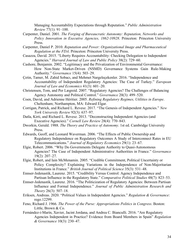Managing Accountability Expectations through Reputation." *Public Administration Review* 77(1): 91–100.

- Carpenter, Daniel. 2001. *The Forging of Bureaucratic Autonomy: Reputation, Networks and Policy Innovation in Executive Agencies, 1862-10928*. Princeton: Princeton University Press.
- Carpenter, Daniel P. 2010. *Reputation and Power: Organizational Image and Pharmaceutical Regulation at the FDA*. Princeton: Princeton University Press.
- Casazza, David. 2015. "Liberty Requires Accountability: Checking Delegation to Independent Agencies." *Harvard Journal of Law and Public Policy* 38(2): 729–60.
- Cashore, Benjamin. 2002. "Legitimacy and the Privatization of Environmental Governance: How Non-State Market-Driven (NSMD) Governance Systems Gain Rule-Making Authority." *Governance* 15(4): 503–29.
- Çetin, Tamer, M. Zahid Sobacı, and Mehmet Nargeleçekenler. 2016. "Independence and Accountability of Independent Regulatory Agencies: The Case of Turkey." *European Journal of Law and Economics* 41(3): 601–20.
- Christensen, Tom, and Per Lægreid. 2007. "Regulatory Agencies? The Challenges of Balancing Agency Autonomy and Political Control." *Governance* 20(3): 499–520.
- Coen, David, and Adrienne Héritier. 2005. *Refining Regulatory Regimes, Utilities in Europe*. Cheltenham; Northampton, MA: Edward Elgar.
- Corrigan, Patrick, and Richard L. Revesz. 2017. "The Genesis of Independent Agencies." *New York University Review* 92(3): 637–97.
- Datla, Kirti, and Richard L. Revesz. 2013. "Deconstructing Independent Agencies (and Executive Agencies)." *Cornell Law Review* 28(4): 770–843.
- Dworkin, Gerald. 1988. *The Theory and Practice of Autonomy*. 1st ed. Cambridge University Press.
- Edwards, Geoff, and Leonard Waverman. 2006. "The Effects of Public Ownership and Regulatory Independence on Regulatory Outcomes A Study of Interconnect Rates in EU Telecommunications." *Journal of Regulatory Economics* 29(1): 23–67.
- Elgie, Robert. 2006. "Why Do Governments Delegate Authority to Quasi-Autonomous Agencies? The Case of Independent Administrative Authorities in France." *Governance* 19(2): 207–27.
- Elgie, Robert, and Iain McMenamin. 2005. "Credible Commitment, Political Uncertainty or Policy Complexity? Explaining Variations in the Independence of Non-Majoritarian Institutions in France." *British Journal of Political Science* 35(3): 531–48.
- Ennser-Jedenastik, Laurenz. 2015. "Credibility Versus Control: Agency Independence and Partisan Influence in the Regulatory State." *Comparative Political Studies* 48(7): 823–53.
- Ennser-Jedenastik, Laurenz. 2016. "The Politicization of Regulatory Agencies: Between Partisan Influence and Formal Independence." *Journal of Public Administration Research and Theory* 26(3): 507–18.
- Eriksen, Andreas. 2020. "Political Values in Independent Agencies." *Regulation & Governance*: rego.12299.
- Feno, Richard J. 1966. *The Power of the Purse: Appropriations Politics in Congress*. Boston: Little, Brown & Co.
- Fernández-i-Marín, Xavier, Jacint Jordana, and Andrea C. Bianculli. 2016. "Are Regulatory Agencies Independent in Practice? Evidence from Board Members in Spain" *Regulation & Governance* 10(3): 230–47.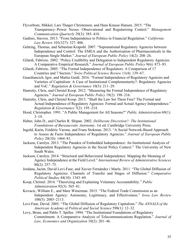- Flyverbom, Mikkel, Lars Thøger Christensen, and Hans Krause Hansen. 2015. "The Transparency–Power Nexus: Observational and Regularizing Control." *Management Communication Quarterly* 29(3): 385–410.
- Gadinis, Stavros. 2013. "From Independence to Politics in Financial Regulation." *California Law Review* 101(327): 327–406.
- Gehring, Thomas, and Sebastian Krapohl. 2007. "Supranational Regulatory Agencies between Independence and Control: The EMEA and the Authorization of Pharmaceuticals in the European Single Market." *Journal of European Public Policy* 14(2): 208–26.
- Gilardi, Fabrizio. 2002. "Policy Credibility and Delegation to Independent Regulatory Agencies: A Comparative Empirical Research." *Journal of European Public Policy* 9(6): 873–93.
- Gilardi, Fabrizio. 2005. "The Formal Independence of Regulators: A Comparison of 17 Countries and 7 Sectors." *Swiss Political Science Review* 11(4): 139–67.
- Guardiancich, Igor, and Mattia Guidi. 2016. "Formal Independence of Regulatory Agencies and Varieties of Capitalism: A Case of Institutional Complementarity?: Regulatory Agencies and VoC." *Regulation & Governance* 10(3): 211–29.
- Hanretty, Chris, and Christel Koop. 2012. "Measuring the Formal Independence of Regulatory Agencies." *Journal of European Public Policy* 19(2): 198–216.
- Hanretty, Chris, and Christel Koop. 2013. "Shall the Law Set Them Free? The Formal and Actual Independence of Regulatory Agencies: Formal and Actual Agency Independence." *Regulation & Governance* 7(2): 195–214.
- Hood, Christopher. 1991. "A Public Management for All Seasons?" *Public Administration* 69(1):  $3 - 19.$
- Huber, John D., and Charles R. Shipan. 2002. *Deliberate Discretion?: The Institutional Foundations of Bureaucratic Autonomy*. 1st ed. Cambridge University Press.
- Ingold, Karin, Frédéric Varone, and Frans Stokman. 2013. "A Social Network-Based Approach to Assess de Facto Independence of Regulatory Agencies." *Journal of European Public Policy* 20(10): 1464–81.
- Jackson, Carolyn. 2013. "The Paradox of Embedded Independence: An Institutional Analysis of Independent Regulatory Agencies in the Social Policy Context." The University of New South Wales.
- Jackson, Carolyn. 2014. "Structural and Behavioural Independence: Mapping the Meaning of Agency Independence at the Field Level." *International Review of Administrative Sciences* 80(2): 257–75.
- Jordana, Jacint, David Levi-Faur, and Xavier Fernández i Marín. 2011. "The Global Diffusion of Regulatory Agencies: Channels of Transfer and Stages of Diffusion." *Comparative Political Studies* 44(10): 1343–69.
- Koop, Christel. 2014. "Theorizing and Explaining Voluntary Accountability." *Public Administration* 92(3): 565–81.
- Kovacic, William E., and Marc Winerman. 2015. "The Federal Trade Commission as an Independent Agency: Autonomy, Legitimacy, and Effectiveness." *Iowa Law Review* 100(5): 2085–2113.
- Levi-Faur, David. 2005. "The Global Diffusion of Regulatory Capitalism." *The ANNALS of the American Academy of Political and Social Science* 598(1): 12–32.
- Levy, Brian, and Pablo T. Spiller. 1994. "The Institutional Foundations of Regulatory Commitment: A Comparative Analysis of Telecommunications Regulation." *Journal of Law, Economics and Organization* 10(2): 201–46.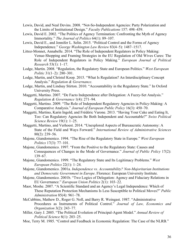- Lewis, David, and Neal Devins. 2008. "Not-So-Independent Agencies: Party Polarization and the Limits of Institutional Design." *Faculty Publications* 157: 498–459.
- Lewis, David E. 2002. "The Politics of Agency Termination: Confronting the Myth of Agency Immortality." *The Journal of Politics* 64(1): 89–107.
- Lewis, David E., and Jennifer L. Selin. 2015. "Political Control and the Forms of Agency Independence." *George Washington Law Review* 83(4–5): 1487–1517.
- Littoz-Monnet, Annabelle. 2014. "The Role of Independent Regulators in Policy Making: Venue-Shopping and Framing Strategies in the EU Regulation of Old Wives Cures: The Role of Independent Regulators in Policy Making." *European Journal of Political Research* 53(1): 1–17.
- Lodge, Martin. 2008. "Regulation, the Regulatory State and European Politics." *West European Politic* 31(1–2): 280–301.
- Lodge, Martin, and Christel Koop. 2015. "What Is Regulation? An Interdisciplinary Concept Analysis." *Regulation & Governance*.
- Lodge, Martin, and Lindsay Stirton. 2010. "Accountability in the Regulatory State." In Oxford University Press.
- Maggetti, Martino. 2007. "De Facto Independence after Delegation: A Fuzzy-Set Analysis." *Regulation & Governance* 1(4): 271–94.
- Maggetti, Martino. 2009. "The Role of Independent Regulatory Agencies in Policy-Making: A Comparative Analysis." *Journal of European Public Policy* 16(3): 450–70.
- Maggetti, Martino, Karin Ingold, and Frédéric Varone. 2013. "Having Your Cake and Eating It, Too: Can Regulatory Agencies Be Both Independent and Accountable?" *Swiss Political Science Review* 19(1): 1–25.
- Maggetti, Martino, and Verhoest. 2014. "Unexplored Aspects of Bureaucratic Autonomy: A State of the Field and Ways Forward." *International Review of Administrative Sciences* 80(2): 239–56.
- Majone, Giandomenico. 1994. "The Rise of the Regulatory State in Europe." *West European Politics* 17(3): 77–101.
- Majone, Giandomenico. 1997. "From the Positive to the Regulatory State: Causes and Consequences of Changes in the Mode of Governance." *Journal of Public Policy* 17(2): 139–67.
- Majone, Giandomenico. 1999. "The Regulatory State and Its Legitimacy Problems." *West European Politics* 22(1): 1–24.
- Majone, Giandomenico. 2001a. *Independence vs. Accountability? Non-Majoritarian Institutions and Democratic Government in Europe*. Florence: European University Institute.
- Majone, Giandomenico. 2001b. "Two Logics of Delegation: Agency and Fiduciary Relations in EU Governance." *European Union Politics* 2(1): 103–22.
- Maor, Moshe. 2007. "A Scientific Standard and an Agency's Legal Independence: Which of These Reputation Protection Mechanisms Is Less Susceptible to Political Moves?" *Public Administration* 85(4): 961–78.
- McCubbins, Mathew D., Roger G. Noll, and Barry R. Weingast. 1987. "Administrative Procedures as Instruments of Political Control." *Journal of Law, Economics and Organization* 3(2): 243–77.
- Miller, Gary J. 2005. "The Political Evolution of Principal-Agent Model." *Annual Review of Political Science* 8(1): 203–25.
- Moe, Terry M. 1985. "Control and Feedback in Economic Regulation: The Case of the NLRB."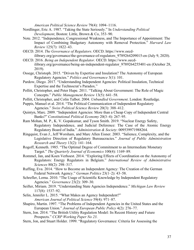*American Political Science Review* 79(4): 1094–1116.

- Nordlinger, Eric A. 1987. "Taking the State Seriously." In *Understanding Political Development*, Boston: Little, Brown & Co, 353–90.
- Note. 2012. "Independence, Congressional Weakness, and The Importance of Appointment: The Impact of Combining Budgetary Autonomy with Removal Protection." *Harvard Law Review* 125(7): 1822–43.
- OECD. 2014. *The Governance of Regulators*. OECD. https://www.oecdilibrary.org/governance/the-governance-of-regulators\_9789264209015-en (July 9, 2020).
- OECD. 2016. *Being an Independent Regulator*. OECD. https://www.oecdilibrary.org/governance/being-an-independent-regulator\_9789264255401-en (October 28, 2019).
- Ossege, Christoph. 2015. "Driven by Expertise and Insulation? The Autonomy of European Regulatory Agencies." *Politics and Governance* 3(1): 101.
- Pardow, Diego. 2017. "Understanding Independent Agencies: Political Insulation, Technical Expertise and the Technocrat's Paradox."
- Pollitt, Christopher, and Peter Hupe. 2011. "Talking About Government: The Role of Magic Concepts." *Public Management Review* 13(5): 641–58.
- Pollitt, Christopher, and Colin Talbot. 2004. *Unbundled Government*. London: Routledge.
- Puppis, Manuel et al. 2014. "The Political Communication of Independent Regulatory Agencies." *Swiss Political Science Review* 20(3): 388–412.
- Quintyn, Marc. 2009. "Independent Agencies: More than a Cheap Copy of Independent Central Banks?" *Constitutional Political Economy* 20(3–4): 267–95.
- Ram Mohan, M. P., K. V. Gopakumar, and Tyson Smith. 2019. "Nuclear Energy Safety, Regulatory Independence, and Judicial Deference: The Case of the Atomic Energy Regulatory Board of India." *Administration & Society*: 009539971988264.
- Ringquist, Evan J., Jeff Worsham, and Marc Allen Eisner. 2003. "Salience, Complexity, and the Legislative Direction of Regulatory Bureaucracies." *Journal of Public Administration Research and Theory* 13(2): 141–164.
- Rogoff, Kenneth. 1985. "The Optimal Degree of Commitment to an Intermediate Monetary Target." *The Quarterly Journal of Economics* 100(4): 1169–89.
- Rommel, Jan, and Koen Verhoest. 2014. "Exploring Effects of Coordination on the Autonomy of Regulators: Energy Regulators in Belgium." *International Review of Administrative Sciences* 80(2): 298–317.
- Ruffing, Eva. 2014. "How to Become an Independent Agency: The Creation of the German Federal Network Agency." *German Politics* 23(1–2): 43–58.
- Schrefler, Lorna. 2010. "The Usage of Scientific Knowledge by Independent Regulatory Agencies." *Governance* 23(2): 309–30.
- Seifter, Miriam. 2019. "Understanding State Agencies Independence." *Michigan Law Review* 117(8): 1537–92.
- Selin, Jennifer L. 2015. "What Makes an Agency Independent?" *American Journal of Political Science* 59(4): 971–87.
- Shapiro, Martin. 1997. "The Problems of Independent Agencies in the United States and the European Union." *Journal of European Public Policy* 4(2): 276–77.
- Stern, Jon. 2014. "The British Utility Regulation Model: Its Recent History and Future Prospects." *CCRP Working Paper No 23*.
- Stern, Jon, and Stuart Holder. 1999. "Regulatory Governance: Criteria for Assessing the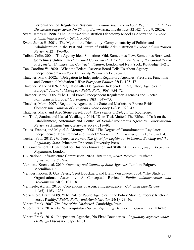Performance of Regulatory Systems." *London Business School Regulation Initiative Discussion Paper Series No.20*. http://www.ssrn.com/abstract=321421 (July 9, 2020).

- Svara, James H. 1998. "The Politics-Administration Dichotomy Model as Aberration." *Public Administration Review* 58(1): 51–58.
- Svara, James H. 2001. "The Myth of the Dichotomy: Complementarity of Politics and Administration in the Past and Future of Public Administration." *Public Administration Review* 61(2): 176–83.
- Talbot, Colin. 2004. "The Agency Idea: Sometimes Old, Sometimes New, Sometimes Borrowed, Sometimes Untrue." In *Unbundled Government: A Critical Analysis of the Global Trend to Agencies, Quangos and Contractualisation*, London and New York: Routledge, 3–21.
- Tan, Caroline W. 2020. "What the Federal Reserve Board Tells Us About Agency Independence." *New York University Review* 95(1): 326–61.
- Thatcher, Mark. 2002a. "Delegation to Independent Regulatory Agencies: Pressures, Functions and Contextual Mediation." *West European Politics* 25(1): 125–47.
- Thatcher, Mark. 2002b. "Regulation after Delegation: Independent Regulatory Agencies in Europe." *Journal of European Public Policy* 9(6): 954–72.
- Thatcher, Mark. 2005. "The Third Force? Independent Regulatory Agencies and Elected Politicians in Europe." *Governance* 18(3): 347–73.
- Thatcher, Mark. 2007. "Regulatory Agencies, the State and Markets: A Franco-British Comparison." *Journal of European Public Policy* 14(7): 1028–47.
- Thatcher, Mark, and Alec Stone Sweet. 2004. *The Politics of Delegation*. Routledge.
- van Thiel, Sandra, and Kutsal Yesilkagit. 2014. "Does Task Matter? The Effect of Task on the Establishment, Autonomy and Control of Semi-Autonomous Agencies." *International Review of Administrative Sciences* 80(2): 318–40.
- Trillas, Francis, and Miguel A. Montoya. 2008. "The Degree of Commitment to Regulator Independence: Measurement and Impact." *Hacienda Publica Espagnol* (185): 89–114.
- Tucker, Paul. 2018. *The Unlected Power: The Quest for Legitimacy in Central Banking and the Regulatory State*. Princeton: Princeton University Press.
- UK Government, Department for Business Innovation and Skills. 2011. *Principles for Economic Regulation*. London.
- UK National Infrastructure Commission. 2020. *Anticipate, React, Recover: Resilient Infrastructure Systems*.
- Verhoest, Koen et al. 2010. *Autonomy and Control of State Agencies*. London: Palgrave Macmillan UK.
- Verhoest, Koen, B. Guy Peters, Geert Bouckaert, and Bram Verschuere. 2004. "The Study of Organisational Autonomy: A Conceptual Review." *Public Administration and Development* 24(2): 101–18.
- Vermeule, Adrian. 2013. "Conventions of Agency Independence." *Columbia Law Review* 113(5): 1163–1238.
- Verschuere, Bram. 2009. "The Role of Public Agencies in the Policy Making Process: Rhetoric versus Reality." *Public Policy and Administration* 24(1): 23–46.
- Vibert, Frank. 2007. *The Rise of the Unelected*. Cambridge Press.
- Vibert, Frank. 2014. *The New Regulatory Space: Reframing Democratic Governance*. Edward Elgar.
- Vibert, Frank. 2016. "Independent Agencies, No Fixed Boundaries." *Regulatory agencies under challenge* Discussion paper N. 81.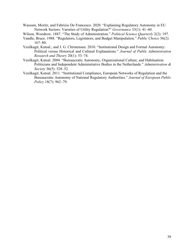- Wassum, Moritz, and Fabrizio De Francesco. 2020. "Explaining Regulatory Autonomy in EU Network Sectors: Varieties of Utility Regulation?" *Governance* 33(1): 41–60.
- Wilson, Woodrow. 1887. "The Study of Administration." *Political Science Quarterly* 2(2): 197.
- Yandle, Bruce. 1988. "Regulators, Legislators, and Budget Manipulation." *Public Choice* 56(2): 167–80.
- Yesilkagit, Kutsal., and J. G. Christensen. 2010. "Institutional Design and Formal Autonomy: Political versus Historical and Cultural Explanations." *Journal of Public Administration Research and Theory* 20(1): 53–74.
- Yesilkagit, Kutsal. 2004. "Bureaucratic Autonomy, Organizational Culture, and Habituation: Politicians and Independent Administrative Bodies in the Netherlands." *Administration & Society* 36(5): 528–52.
- Yesilkagit, Kutsal. 2011. "Institutional Compliance, European Networks of Regulation and the Bureaucratic Autonomy of National Regulatory Authorities." *Journal of European Public Policy* 18(7): 962–79.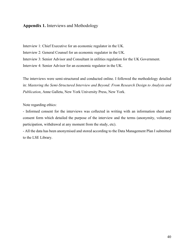## **Appendix 1.** Interviews and Methodology

Interview 1: Chief Executive for an economic regulator in the UK. Interview 2: General Counsel for an economic regulator in the UK. Interview 3: Senior Advisor and Consultant in utilities regulation for the UK Government. Interview 4: Senior Advisor for an economic regulator in the UK.

The interviews were semi-structured and conducted online. I followed the methodology detailed in: *Mastering the Semi-Structured Interview and Beyond: From Research Design to Analysis and Publication*, Anne Galleta, New York University Press, New York.

Note regarding ethics:

- Informed consent for the interviews was collected in writing with an information sheet and consent form which detailed the purpose of the interview and the terms (anonymity, voluntary participation, withdrawal at any moment from the study, etc).

- All the data has been anonymised and stored according to the Data Management Plan I submitted to the LSE Library.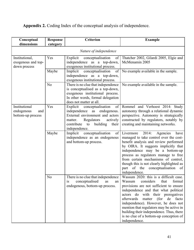# **Appendix 2.** Coding Index of the conceptual analysis of independence.

| Conceptual<br>dimensions                                | <b>Response</b><br>category | <b>Criterion</b>                                                                                                                                                                                     | <b>Example</b>                                                                                                                                                                                                                                                                                                                                                                                                                           |
|---------------------------------------------------------|-----------------------------|------------------------------------------------------------------------------------------------------------------------------------------------------------------------------------------------------|------------------------------------------------------------------------------------------------------------------------------------------------------------------------------------------------------------------------------------------------------------------------------------------------------------------------------------------------------------------------------------------------------------------------------------------|
|                                                         |                             | Nature of independence                                                                                                                                                                               |                                                                                                                                                                                                                                                                                                                                                                                                                                          |
| Institutional,<br>exogenous and top-<br>down process    | Yes                         | Explicit<br>conceptualisation<br>of<br>independence as a top-down,<br>exogenous institutional process.                                                                                               | Thatcher 2002, Gilardi 2005, Elgie and<br>McMenamin 2005                                                                                                                                                                                                                                                                                                                                                                                 |
|                                                         | Maybe                       | Implicit<br>conceptualisation<br>of<br>independence as a top-down,<br>exogenous institutional process.                                                                                               | No example available in the sample.                                                                                                                                                                                                                                                                                                                                                                                                      |
|                                                         | N <sub>o</sub>              | There is no clue that independence<br>is conceptualised as a top-down,<br>exogenous institutional process.<br>In other words, formal delegation<br>does not matter at all.                           | No example available in the sample.                                                                                                                                                                                                                                                                                                                                                                                                      |
| Institutional<br>endogenous<br>and<br>bottom-up process | Yes                         | Explicit conceptualisation<br>of<br>independence as<br>endogenous.<br>External environment and actors<br>Regulators<br>actively<br>matter.<br>contribute<br>building<br>to<br>their<br>independence. | Rommel and Verhoest 2014: Study<br>autonomy through a relational dynamic<br>perspective. Autonomy is strategically<br>constructed by regulators, notably by<br>creating and maintaining networks.                                                                                                                                                                                                                                        |
|                                                         | Maybe                       | Implicit<br>conceptualisation<br>of  <br>independence as an endogenous<br>and bottom-up process.                                                                                                     | Livermore<br>2014:<br>Agencies<br>have<br>managed to take control over the cost-<br>benefit analysis and review performed<br>by OIRA. It suggests implicitly that<br>independence may be a bottom-up<br>process as regulators manage to free<br>from certain mechanisms of control,<br>though this is not clearly highlighted as<br>part of the conceptualisation of<br>independence.                                                    |
|                                                         | N <sub>o</sub>              | There is no clue that independence<br>conceptualised<br>as<br>1S<br>an<br>endogenous, bottom-up process.                                                                                             | Wassum 2020: this is a difficult case.<br>Wassum<br>considers<br>that<br>formal<br>provisions are not sufficient to ensure<br>independence and that what political<br>actors do with their prerogatives<br>afterwards matter (for<br>de facto<br>independence). However, he does not<br>mention that regulators may be active in<br>building their independence. Thus, there<br>is no clue of a bottom-up conception of<br>independence. |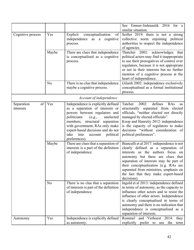|                               |       |                                                                                                                                                                                                                                                                                                                      | See Ennser-Jedenastik 2016 for a                                                                                                                                                                                                                                                                                                                 |
|-------------------------------|-------|----------------------------------------------------------------------------------------------------------------------------------------------------------------------------------------------------------------------------------------------------------------------------------------------------------------------|--------------------------------------------------------------------------------------------------------------------------------------------------------------------------------------------------------------------------------------------------------------------------------------------------------------------------------------------------|
| Cognitive process             | Yes   | Explicit<br>conceptualisation<br>of<br>independence<br>a cognitive<br>as<br>process.                                                                                                                                                                                                                                 | similar situation.<br>Seifter 2019: there is not a strong<br>collective norm enjoining political<br>authorities to respect the independence<br>of agencies.                                                                                                                                                                                      |
|                               | Maybe | There are clues that independence<br>is conceptualised as a cognitive<br>process.                                                                                                                                                                                                                                    | Thatcher 2002:<br>acknowledges<br>that<br>political actors may find it inappropriate<br>to use their prerogatives of control over<br>regulators, because it is not appropriate<br>or not in their interests but no further<br>mention of a cognitive process at the<br>heart of independence.                                                    |
|                               | No    | There is no clue that independence<br>maybe a cognitive process.                                                                                                                                                                                                                                                     | Gilardi 2002: independence exclusively<br>conceptualised as a formal institutional<br>process.                                                                                                                                                                                                                                                   |
|                               |       | Account of independence                                                                                                                                                                                                                                                                                              |                                                                                                                                                                                                                                                                                                                                                  |
| Separation<br>of<br>interests | Yes   | Independence is explicitly defined<br>as a separation of interests or<br>powers between regulators and<br>politicians<br>unelected<br>(e.g.,<br>structural<br>members,<br>separation<br>with government, RAs only make<br>expert-based decisions and do not<br>into<br>account<br>political<br>take<br>preferences). | defines<br>Tatcher<br>2002:<br>RAs<br><b>as</b><br>structurally separated from<br>elected<br>officials, "neither elected nor directly<br>managed by elected officials".<br>Koop and Hanretty 2012: independence<br>is the capacity of regulators to make<br>decisions "without consideration of<br>political preferences".                       |
|                               | Maybe | There are clues that a separation of<br>interests is a part of the definition<br>of independence.                                                                                                                                                                                                                    | Bianculli et al 2017: independence is not<br>clearly defined as a separation of<br>interests as the authors focus<br>on<br>autonomy but there are clues that<br>separation of interests may be part of<br>their conceptualisation (e.g. RAs are<br>separated from ministries, emphasis on<br>the fact that they make expert-based<br>decisions). |
|                               | No    | There is no clue that a separation<br>of interests is part of the definition<br>of independence.                                                                                                                                                                                                                     | Ingold et al 2013: independence defined<br>in terms of autonomy, as the capacity to<br>influence other actors and to resist the<br>influence of other actors. Independence<br>is clearly conceptualised in terms of<br>autonomy and there is no indication that<br>independence is conceptualised as a<br>separation of interests.               |
| Autonomy                      | Yes   | Independence is explicitly defined<br>as autonomy.                                                                                                                                                                                                                                                                   | Rommel<br>and Verhoest 2014:<br>they<br>explicitly prefer to use<br>the<br>term                                                                                                                                                                                                                                                                  |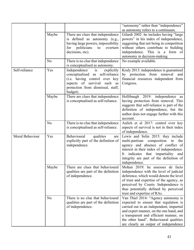|                 |       |                                                                                                                                                                                      | "autonomy" rather than "independence"<br>as autonomy refers to a continuum.                                                                                                                                                                                                                      |
|-----------------|-------|--------------------------------------------------------------------------------------------------------------------------------------------------------------------------------------|--------------------------------------------------------------------------------------------------------------------------------------------------------------------------------------------------------------------------------------------------------------------------------------------------|
|                 | Maybe | There are clues that independence<br>is defined as autonomy (e.g.,<br>having large powers, impossibility<br>for politicians<br>to<br>overturn<br>decisions, etc).                    | Gilardi 2002: he includes having "large<br>powers" in his index of independence,<br>suggesting that not being in competition<br>without others contribute to building<br>independence. This is a form of                                                                                         |
|                 | No    | There is no clue that independence<br>is conceptualised as autonomy.                                                                                                                 | autonomy in decision-making.<br>No example available.                                                                                                                                                                                                                                            |
| Self-reliance   | Yes   | is<br>Independence<br>explicitly<br>conceptualised as self-reliance<br>(i.e. having control over key<br>aspects of survival such as<br>protection from dismissal, staff,<br>budget). | Kruly 2013: independence is guaranteed<br>by protection from removal<br>and<br>financial resources independent from<br>Congress.                                                                                                                                                                 |
|                 | Maybe | There are clues that independence<br>is conceptualised as self-reliance.                                                                                                             | Hollibaugh 2019: independence<br>as<br>having protection from removal. This<br>suggests that self-reliance is part of the<br>definition of independence, but the<br>author does not engage further with this<br>account.                                                                         |
|                 | No    | There is no clue that independence<br>is conceptualised as self-reliance.                                                                                                            | Aulich et al 2017: control over key<br>aspects of survival is not in their index<br>of independence.                                                                                                                                                                                             |
| Moral Behaviour | Yes   | Behavioural<br>qualities<br>are<br>explicitly part of the definition of<br>independence.                                                                                             | Lewis and Selin 2015: they include<br>multi-partisan composition in<br>the<br>agency and absence of conflict of<br>interest in their index of independence.<br>indicates that impartiality<br>and<br>It<br>integrity are part of the definition of<br>independence.                              |
|                 | Maybe | There are clues that behavioural<br>qualities are part of the definition<br>of independence.                                                                                         | Mohan 2019: he assesses de facto<br>independence with the level of judicial<br>deference, which would denote the level<br>of trust and expertise of the agency, as<br>perceived by Courts. Independence is<br>thus potentially defined by perceived<br>trust and expertise of RAs.               |
|                 | No    | There is no clue that behavioural<br>qualities are part of the definition<br>of independence.                                                                                        | Van Thiel 2014: "Agency autonomy is<br>expected to ensure that regulation is<br>carried out in an independent, impartial<br>and expert manner, on the one hand, and<br>a transparent and efficient manner, on<br>the other hand". Behavioural qualities<br>are clearly an output of independence |